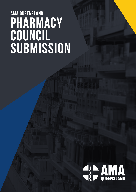# pharmacy council submission AMA QUEENSLAND

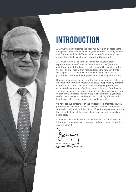

# **INTRODUCTION**

AMA Queensland welcomes the opportunity to provide feedback to the Queensland Parliament's Health, Communities, Disability Services and Domestic and Family Violence Prevention Committee on the proposal to establish a pharmacy council in Queensland.

AMA Queensland is the state's peak medical advocacy group, representing over 6000 medical practitioners across Queensland and throughout all levels of the health system. Our members value the specific expertise of Non-Medical Health Practitioners (NMHP). We support the collaborative arrangements between medical practitioners and other health practitioners, including pharmacists.

However, pharmacists do not have the education, training or skills to independently formulate medical diagnoses, independently interpret diagnostic tests, prescribe medication, issue repeat prescriptions, or decide on the admission of patients to, and discharge from, hospital. The move to expand the scope of practice for pharmacists away from collaborative care relationships puts patient safety at risk, exposes staff to medico-legal risk and rather than providing efficiencies in health care delivery, may prove to be costlier overall.

We have serious concerns with the proposal for a pharmacy council put forward in the issues paper. AMA Queensland will confine our submission to Questions 1, 16, 18 and 19 as these questions are those that go to the heart of the proposal and issues of patient safety in health care.

I commend this submission to the members of the Committee and I thank all our members who have provided their valuable input into its development.

Dilip Dhupelia **President, AMA Queensland**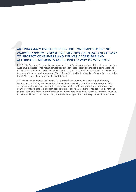## ARE<br>
PHA<br>
TO F<br>
AFF<br>
In 201<br>
rules H<br>
Rathe<br>
to moo<br>
laws.<sup>11</sup> **ARE PHARMACY OWNERSHIP RESTRICTIONS IMPOSED BY** *THE PHARMACY BUSINESS OWNERSHIP ACT 2001* **(QLD) (ACT) NECESSARY TO PROTECT CONSUMERS AND DELIVER ACCESSIBLE AND AFFORDABLE MEDICINES AND SERVICES? WHY OR WHY NOT?**

In 2017, the *Review of Pharmacy Remuneration and Regulation Final Report* noted that pharmacy location rules have "not established robust competition between independent pharmacies in some locations. Rather, in some locations, either individual pharmacists or small groups of pharmacists have been able to monopolise some or all pharmacies. This is inconsistent with the objective of Australia's competition laws.1 " AMA Queensland agrees with this statement.

AMA Queensland endorses the Federal AMA position² to allow broader ownership of pharmacy businesses. The AMA agrees that control of medicines dispensing should remain the responsibility of registered pharmacists, however the current ownership restrictions prevent the development of healthcare models that could benefit patient care. For example, co-located medical practitioners and pharmacists would facilitate coordinated and enhanced care for patients, as well as increase convenience for patients. Under current regulations, this model is only possible under very limited circumstances.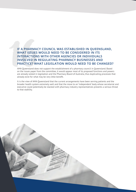## **IF A PHARMACY COUNCIL WAS ESTABLISHED IN QUEENSLAND,<br>
WHAT ISSUES WOULD NEED TO BE CONSIDERED IN ITS<br>
INTERACTIONS WITH OTHER AGENCIES OR INDIVIDUALS<br>
INVOLVED IN REGULATING PHARMACY BUSINESSES AND<br>
PRACTICE? WHAT LEGISLA WHAT ISSUES WOULD NEED TO BE CONSIDERED IN ITS INTERACTIONS WITH OTHER AGENCIES OR INDIVIDUALS INVOLVED IN REGULATING PHARMACY BUSINESSES AND PRACTICE? WHAT LEGISLATION WOULD NEED TO BE CHANGED?**

AMA Queensland does not support the establishment of a pharmacy council in Queensland. Based on the issues paper from the committee, it would appear most of its proposed functions and powers are already vested in legislation and the Pharmacy Board of Australia, thus duplicating processes that already exist for what may be very little benefit.

It is the view of AMA Queensland that the current arrangements have been serving patients and the broader health system extremely well and that the move to an 'independent' body whose secretariat and executive could potentially be stacked with pharmacy industry representatives presents a serious threat to that stability.

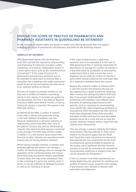# **SHOULD THE SCOPE OF PRACTICE OF PHARMACISTS AND<br>
PHARMACY ASSISTANTS IN QUEENSLAND BE EXTENDED?**<br>
An the interests of patient safety and quality in health care, AMA Queensland does not supertending the scope of pharmacist **PHARMACY ASSISTANTS IN QUEENSLAND BE EXTENDED?**

An the interests of patient safety and quality in health care, AMA Queensland does not support extending the scope of pharmacists and pharmacy assistants for the following reasons.

#### **CONFLICT OF INTEREST**

AMA Queensland agrees with the Pharmacy Guild who say that the "separation of prescribing and dispensing of medicines provides a safety mechanism as it ensures independent review of a prescription occurs prior to the commencement of treatment."3 If, the scope of practice for pharmacists and pharmacy assistants was to be extended to allow them to become both a prescriber and a dispenser, this safety mechanism would be put at risk and exposes the pharmacist to an inherent conflict of interest.

Doctors are careful to consider whether or not they have a conflict of interest in providing advice. In this, doctors in Australia are guided by two documents. The first is the Medical Board of Australia's (MBA) *Good Medical Practice: A Code of Conduct for doctors in Australia*. The second is the *AMA Code of Ethics*.

As defined by the MBA, a conflict of interest arises when a doctor, entrusted with acting in the best interests of patients, also has financial, professional or personal interests, or relationships, which may affect their care of the patient<sup>4</sup>. Doctors may also be influenced by interests that extend to other persons connected to the provider. The AMA Code of Ethics states in section 3.5.1 that doctors must ensure their financial or other interests are secondary to their primary duty of serving patients interests<sup>5</sup>.

Whilst having multiple interests is common and generally appropriate, doctors can manage a conflict of interest by taking action to manage the separation of the conflicting duties and ensure the primary duty to patients remains paramount. In some cases, this may entail withdrawal from or the curtailing of a particular activity, while in others, it may be sufficient to delegate functions or roles to an individual or group.

If the scope of pharmacists or pharmacy assistants was to be extended, it is the view of AMA Queensland that it would be impossible for pharmacists to manage this conflict of interest in a way that would be acceptable to most parties. A pharmacist that is both a prescriber and a dispenser has an inherent conflict of interest, a point which should underline the continued need for a separation between these two actions.

Beyond this inherent conflict of interest, there is also the concern that pharmacists may use the opportunity to upsell to patients. Upselling often involves the selling of products that have few, if any, proven health benefits. Our general practitioner (GP) members have offered many examples of upselling experienced by their patients, such as a pharmacist recommending Inner Health Plus when dispensing antibiotics or Glucosamine when the patient has their arthritis medication dispensed. Others have provided examples of when pharmacists have persuaded patients not to fill a script and use an over the counter medicine instead, without input from the original prescribing doctor.

This was already a concern noted by the Federal Government's Pharmacy Review in 2016 which noted in its discussion paper that the Panel had "heard that some consumers are concerned that pharmacists may compromise on the level of professional advice provided to patients on the quality use of medicines and feel financial pressure to 'up-sell' to consumers, for example by recommending medicines or products that may not be necessary for the patient."6

If this is a concern now, when pharmacists are simply dispensing, the potential for upselling and conflict of interest issues would be much greater if pharmacists were allowed to become both prescribers *and* dispensers.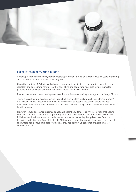

#### **EXPERIENCE, QUALITY AND TRAINING**

General practitioners are highly trained medical professionals who, on average, have 14 years of training as compared to pharmacists who have only four.

Using their training, GPs holistically diagnose, examine, investigate with appropriate pathology and radiology and appropriate referral to other specialists and coordinate multidisciplinary teams for patients in the privacy of dedicated consulting rooms. Pharmacists do not.

Pharmacists are not trained to diagnose, examine and investigate with pathology and radiology. GPs are.

There is already ample evidence which shows that men are less likely to visit their GP than women<sup>7</sup>. AMA Queensland is concerned that allowing pharmacists to become prescribers would see both men and women lose out on vital consultations with their GP as they opt for convenience over better health outcomes.

However, convenience when it comes to health is potentially dangerous. Any interaction that occurs between a GP and a patient is an opportunity for that GP to make the patient healthier beyond the initial reason they have presented to the doctor on that particular day. Analysis of data from the Bettering Evaluation and Care of Health (BEACH) dataset shows that even in "low value" care request encounters, additional health care was usually provided at most GP consultations, particularly for chronic disease<sup>8</sup>.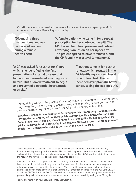Our GP members have provided numerous instances of where a repeat prescription encounter became a life-saving opportunity.

**"Diagnosing three malignant melanomas on backs of women during a female health check."**

**"A female patient who came in for a repeat prescription for her contraceptive pill. The GP checked her blood pressure and noticed a worrying skin lesion on her upper arm. The patient agreed to have it removed, and the GP found it was a level 2 melanoma."**

**"A GP was asked for a script for Viagra, which she identified as the first presentation of arterial disease that had not been considered as a diagnosis before. This allowed treatment to begin and prevented a potential heart attack or stroke."**

**"A patient came in for a script renewal which resulted in the GP identifying a missed faecal occult blood test. The test identified asymptomatic bowel cancer, saving the patient's life."**

Deprescribing, which is the process of tapering, stopping, discontinuing, or withdrawing drugs, with the goal of managing polypharmacy and improving patient outcomes, is also an important aspect of GP care.<sup>9</sup> One GP provides an example of this.

**"A patient came in for a repeat script for puffers for his chronic lung condition and the GP took the patients' blood pressure, which was very low. He admitted he had been feeling light headed and had almost fainted two days earlier. He had taken his GPs advice, improved his diet, lost weight and become fitter. As a result, his blood pressure medications needed to be reduced and one of the agents ceased."**

These encounters all started as "just a script", but show the benefit to public health which any interaction with general practice provides. GPs can perform physical examinations which will detect such conditions at consultations, whereas pharmacists cannot. Only GPs know the detailed context of the request and have access to the patient's full medical record.

Changes to pharmacist scope of practice run directly contrary to the best available evidence about how care should be delivered; long term continuity of care with the same doctor in a therapeutic relationship based on mutual trust and respect. Whereas public opinion suggests that visiting a pharmacist may be more convenient than visiting a GP, empirical evidence from the ABS , the BEACH data11, the OECD12, the *British Medical Journal*13 and numerous other sources clearly demonstrates that you are likely to live longer and achieve better health outcomes overall by seeing your GP regularly.

Taking shortcuts with your health is simply not worth it.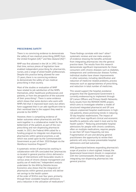#### **PRESCRIBING SAFETY**

There is no convincing evidence to demonstrate the safety of non-medical prescribing (NMP) from the United Kingdom  $(UK)^{14}$  and New Zealand  $(NZ)^{15}$ .

NMP was first allowed in the UK in 1992. Since that time, various pieces of legislation have enabled independent prescribing for pharmacists, nurses, and a range of allied health professionals. Despite this practice being allowed for over 25 years, there is no convincing evidence to demonstrate the safety of non-medical prescribing in that country.

Most of the studies or evaluation of NMP have related to job satisfaction of the NMPs themselves, other healthcare professionals and patients, or from the perspective of the outcome of their prescribing<sup>16</sup>. There is some evidence which shows that some doctors who work with NMPs felt that it improved team work, but others have suggested that it can add significant time to their workload due to the support they need to provide to the NMPs<sup>17</sup>.

However, there is compelling evidence of better outcomes where pharmacists and GPs work together in a collaborative model for the betterment of the patient, as part of the nonprescribing and non-dispensing pharmacist model. In 2015, the Federal AMA called for a funding program to integrate non-dispensing pharmacists within general practices, a call which was acted upon by the Commonwealth Government as part of their 2018 Budget via the Workforce Incentive Program<sup>18</sup>.

A systematic review of pharmacists working in collaboration with GPs concluded that "pharmacists co-located in general practice clinics delivered a range of interventions with favourable results in various areas of chronic disease management and quality use of medicines." Independent analysis undertaken for the AMA by Deloitte Access Economics also shows that the integration of pharmacists within general practices will deliver net savings to the health system of the order of \$545m over four years, primarily through fewer avoidable hospital admissions and a reduction in the utilisation of medications<sup>19</sup>.

These findings correlate with two $20$  other $21$ systematic reviews and one meta-analysis of evidence showing the benefits achieved from integrating pharmacists into the general practice team. The results from this research demonstrate significant improvements for those consumers with chronic diseases such as diabetes, osteoporosis and cardiovascular disease. Further, individual studies have shown improvements in other outcomes, including identification and reduction of medicine-related problems, process measures such as appropriateness of prescribing, and reduction in total number of medicines.

This would support the hospital avoidance programs that the Queensland Government is currently endeavouring to implement through GP Liaison Officers and Primary Health Networks. Early results from the REMAIN HOME project, which aims to investigate whether a model of structured integrated pharmacist and GP care reduces unplanned hospital readmissions in highrisk patients, shows promising trends in reducing 30 day hospital readmissions. The impact of which will have significant clinical and economic benefits to patients who need it most and to the health system.22 Reducing preventable hospital admissions for people with chronic conditions, often on multiple medications, requires people to see their GP more frequently, not less. Fragmentation of care and denying general practitioners the opportunity to review their patients will only increase preventable hospital admissions and bad outcomes.

AMA Queensland believes expanding pharmacist's scope of practice is short-sighted. Instead, the Queensland Government should, in cooperation with the Commonwealth, find better ways of integrating non-dispensing pharmacists into general practice.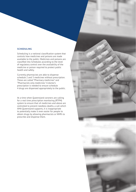#### **SCHEDULING**

Scheduling is a national classification system that controls how medicines and poisons are made available to the public. Medicines and poisons are classified into Schedules according to the level of regulatory control over the availability of the medicine or poison required to protect public health and safety.

Currently pharmacists are able to dispense schedule 2 and 3 medicines without prescription. These are called "Pharmacy medicines" and "Pharmacists only medicines." A doctor's prescription is needed to ensure schedule 4 drugs are dispensed appropriately to the public.

At a time when Queensland coroners are calling for a real time prescription monitoring (RTPM) system to ensure that s4 medicines and above are controlled to prevent needless deaths, a call which AMA Queensland supports, it is inappropriate to potentially make it even easier for people to obtain drugs by allowing pharmacists or NMPs to prescribe and dispense them.

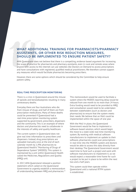### **ASSISTANTS, OR OTHER RISK REDUCTION MEASURES, SHOULD BE IMPLEMENTED TO ENSURE PATIENT SAFETY?**

WHAT ADDITIONAL TRAINING FOR PHARMACISTS/PHARMACY<br>ASSISTANTS, OR OTHER RISK REDUCTION MEASURES,<br>SHOULD BE IMPLEMENTED TO ENSURE PATIENT SAFETY?<br>AMA Queensland does not believe that there is a compelling, evidence based arg AMA Queensland does not believe that there is a compelling, evidence based argument for increasing the scope of practice for pharmacists and pharmacy assistants, even in rural and remote areas where anyone with access to the internet can use websites like Doctors on Demand to access prescriptions and have consultations with registered, qualified medical practitioners. We therefore cannot support any measures which would facilitate pharmacists becoming prescribers.

However, there are some options which should be considered by the Committee to help ensure patient safety.

#### **REAL-TIME PRESCRIPTION MONITORING**

There is a crisis in Queensland around the misuse of opioids and benzodiazepines resulting in many unnecessary deaths.

Everyday there are four Australians who die from misuse of drugs, and half of them are from prescription medications. Many of these deaths could be prevented if Queensland had a real-time prescription monitoring system supported by government, prescribers, dispensers and the community. This is an example of where doctors and pharmacists need to collaborate in the interests of safety and quality healthcare.

The current system in Queensland does not give real time information to prescribers and dispensers. Instead, drug prescriptions are uploaded manually once at the end of each calendar month by 1,996 pharmacists to Queensland Health's "Monitoring of Drugs of Dependence System" (MODDS). This system is maintained by a unit within Queensland Health called the Medicines, Regulations and Quality (MRQ) unit.

In 2017, AMA Queensland released a position statement which called on the Queensland Government to urgently establish a memorandum of understanding between MRO and pharmacies.<sup>23</sup>

This memorandum would be used to facilitate a system where the MODDS reporting delay would be reduced from one month to no more than 24 hours. Extra funding would need to be provided to MRQ and consultation would need to be undertaken between stakeholders (such as doctors and pharmacists) to ensure that the system meets their needs. We believe that an MoU could be implemented within the space of one year.

With the MoU in place, the Queensland Government would be free to implement a software-based solution, which would begin the move to a state wide real-time monitoring system. By working with medical software manufacturers to implement an update to their software, pharmacists could scan prescriptions in real time into the MODDS system and doctors would be able to access this data directly from their desktop. The Queensland Government would need time to fund such a project and work with software manufacturers to implement it, so we would expect a reasonable time frame for such a project to be put in place to be within the next two and a half years.

This system could then operate within Queensland until a national RTPM system is established.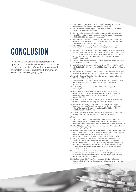## **CONCLUSION**

In closing, AMA Queensland appreciated the opportunity to provide a submission on this issue. If you require further information or assistance in this matter, please contact Mr Leif Bremermann, Senior Policy Advisor, on (07) 3872 2200.

- 1. King, S, Scott, W.J, Watson, J (2017), Review of Pharmacy Remuneration and Regulation: Final Report, Commonwealth of Australia
- 2. AMA Submission Senate Inquiry on the effect of red tape on pharmacy rules (2017) - https://bit.ly/2z58nFo
- 3. Pharmacy Guild of Australia, Dispensing your prescription medicine: more than sticking a label on a bottle, https://www.guild.org.au/\_\_data/assets/ pdf\_file/0020/5366/the-dispensing-process.pdf
- 4. Medical Board of Australia, Good Medical Practice: A Code of Conduct for doctors in Australia, Online. URL: http://www.medicalboard.gov.au/Codes-Guidelines-Policies/Code-of-conduct.aspx
- 5. AMA (2016), Code of Ethics, Online. URL: https://ama.com.au/positionstatement/code-ethics-2004-editorially-revised-2006-revised-2016
- 6. Aubusson, K (2016), Pharmacist conflicts of interest and 'up-selling' patients flagged in major federal government review , Sydney Morning Herald, Online. URL: https://www.smh.com.au/healthcare/pharmacist-conflicts-of-interestand-upselling-patients-flagged-in-major-federal-government-review-20160728-gqfptl.html
- 7. Harrison C, Britt H. General practice Workforce gaps now and in 2020. Aust Fam Physician 2011;40(1–2):12–15.
- Lyndal J Trevena, Christopher Harrison and Helena C Britt, Med J Aust 2018; 208 (3): 114-118. || doi: 10.5694/mja17.00225 Published online: 19 February 2018
- 9. Thompson W, Farrell B. Deprescribing: What Is It and What Does the Evidence Tell Us? The Canadian Journal of Hospital Pharmacy. 2013;66(3):201-202.
- 10. Australian Bureau of Statistics, Patient Experiences in Australia: Summary of Findings 2016-17, Canberra
- 11. Lyndal J Trevena, Christopher Harrison and Helena C Britt, Med J Aust 2018; 208 (3): 114-118. || doi: 10.5694/mja17.00225 Published online: 19 February 2018
- 12. OECD (2017), Health at a Glance 2017: OECD Indicators, OECD Publishing, Paris
- 13. Pereira Gray DJ, Sidaway-Lee K, White E, et al, Continuity of care with doctors—a matter of life and death? A systematic review of continuity of care and mortality, BMJ Open 2018;8:e021161. doi: 10.1136/ bmjopen-2017-021161
- 14. Louise C. Cope, Aseel S. Abuzour, and Mary P. Tully, Nonmedical prescribing: where are we now?, Ther Adv Drug Saf. 2016 Aug; 7(4): 165–172
- 15. Raghunandan R, Tordoff J, Smith A. Non-medical prescribing in New Zealand: an overview of prescribing rights, service delivery models and training. Therapeutic Advances in Drug Safety. 2017;8(11):349-360. doi:10.1177/2042098617723312.
- 16. Louise C. Cope, Aseel S. Abuzour, and Mary P. Tully, Nonmedical prescribing: where are we now?, Ther Adv Drug Saf. 2016 Aug; 7(4): 165–172
- 17. ibid
- 18. Department of Health (2018), Stronger Rural Health recruitment and retention – Workforce Incentive Program, Online. URL: http://www.health. gov.au/internet/budget/publishing.nsf/Content/budget2018-factsheet28.htm
- 19. AMA (2015), General Practice Pharmacists Improving Patient Care, Online. URL: https://bit.ly/2tQ86Be
- 20. Edwin, C.K, Tan B Pharm (Hons), Ph.D, Kay Stewart Ph.D, Rohan A Elliot M Clin Pharm, Johnson George Ph.D (2013), Pharmacist services provided in general practice clinics: A systematic review and meta-analysis, https://www.sciencedirect.com/science/article/pii/S1551741113001794
- 21. Ankie, C.M, Hanzen MSc, Antionette A. de Bont Ph.D, Lia Boelman MSc, Dorien L.M Zwart MD PhD, Johan J de Grier (Prof), Niek J de Wit (Prof), Marcel L. Bouvy (Prof) (2018), The degree of integration of non-dispensing pharmacists in primary care practice and the impact on health outcomes: A systematic review, https://www.sciencedirect.com/science/article/pii/ S1551741116305794
- 22. Foot H, Freeman C, Hemming K, et al, Reducing Medical Admissions into Hospital through Optimising Medicines (REMAIN HOME) Study: protocol for a stepped-wedge, cluster-randomised trial, BMJ Open 2017;7:e015301. doi: 10.1136/bmjopen-2016-015301
- 23. AMA Queensland (2017), Real Time Prescription Monitoring Position Statement, Online. URL: https://ama.com.au/qld/advocacy/ama-queenslandsubmissions